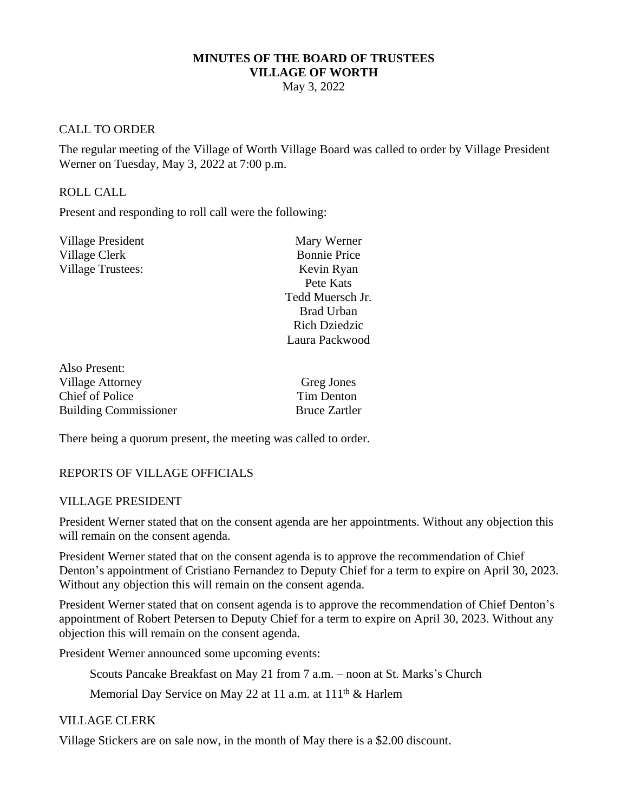#### **MINUTES OF THE BOARD OF TRUSTEES VILLAGE OF WORTH**

May 3, 2022

#### CALL TO ORDER

The regular meeting of the Village of Worth Village Board was called to order by Village President Werner on Tuesday, May 3, 2022 at 7:00 p.m.

#### ROLL CALL

Also Present:

Present and responding to roll call were the following:

| <b>Village President</b> | Mary Werner          |
|--------------------------|----------------------|
| Village Clerk            | <b>Bonnie Price</b>  |
| <b>Village Trustees:</b> | Kevin Ryan           |
|                          | Pete Kats            |
|                          | Tedd Muersch Jr.     |
|                          | <b>Brad Urban</b>    |
|                          | <b>Rich Dziedzic</b> |
|                          | Laura Packwood       |
|                          |                      |

| Greg Jones           |
|----------------------|
| Tim Denton           |
| <b>Bruce Zartler</b> |
|                      |

There being a quorum present, the meeting was called to order.

## REPORTS OF VILLAGE OFFICIALS

#### VILLAGE PRESIDENT

President Werner stated that on the consent agenda are her appointments. Without any objection this will remain on the consent agenda.

President Werner stated that on the consent agenda is to approve the recommendation of Chief Denton's appointment of Cristiano Fernandez to Deputy Chief for a term to expire on April 30, 2023. Without any objection this will remain on the consent agenda.

President Werner stated that on consent agenda is to approve the recommendation of Chief Denton's appointment of Robert Petersen to Deputy Chief for a term to expire on April 30, 2023. Without any objection this will remain on the consent agenda.

President Werner announced some upcoming events:

Scouts Pancake Breakfast on May 21 from 7 a.m. – noon at St. Marks's Church

Memorial Day Service on May 22 at 11 a.m. at 111<sup>th</sup> & Harlem

#### VILLAGE CLERK

Village Stickers are on sale now, in the month of May there is a \$2.00 discount.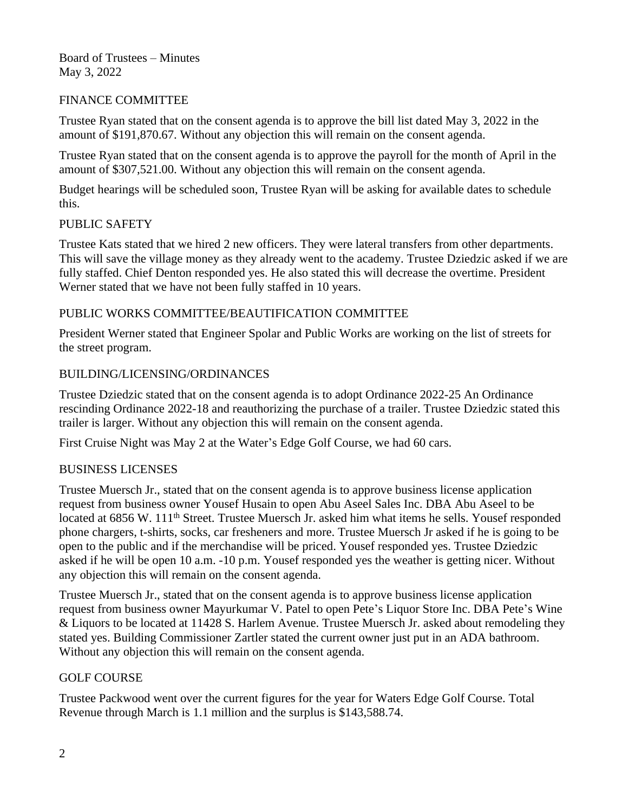Board of Trustees – Minutes May 3, 2022

## FINANCE COMMITTEE

Trustee Ryan stated that on the consent agenda is to approve the bill list dated May 3, 2022 in the amount of \$191,870.67. Without any objection this will remain on the consent agenda.

Trustee Ryan stated that on the consent agenda is to approve the payroll for the month of April in the amount of \$307,521.00. Without any objection this will remain on the consent agenda.

Budget hearings will be scheduled soon, Trustee Ryan will be asking for available dates to schedule this.

## PUBLIC SAFETY

Trustee Kats stated that we hired 2 new officers. They were lateral transfers from other departments. This will save the village money as they already went to the academy. Trustee Dziedzic asked if we are fully staffed. Chief Denton responded yes. He also stated this will decrease the overtime. President Werner stated that we have not been fully staffed in 10 years.

## PUBLIC WORKS COMMITTEE/BEAUTIFICATION COMMITTEE

President Werner stated that Engineer Spolar and Public Works are working on the list of streets for the street program.

## BUILDING/LICENSING/ORDINANCES

Trustee Dziedzic stated that on the consent agenda is to adopt Ordinance 2022-25 An Ordinance rescinding Ordinance 2022-18 and reauthorizing the purchase of a trailer. Trustee Dziedzic stated this trailer is larger. Without any objection this will remain on the consent agenda.

First Cruise Night was May 2 at the Water's Edge Golf Course, we had 60 cars.

## BUSINESS LICENSES

Trustee Muersch Jr., stated that on the consent agenda is to approve business license application request from business owner Yousef Husain to open Abu Aseel Sales Inc. DBA Abu Aseel to be located at 6856 W. 111<sup>th</sup> Street. Trustee Muersch Jr. asked him what items he sells. Yousef responded phone chargers, t-shirts, socks, car fresheners and more. Trustee Muersch Jr asked if he is going to be open to the public and if the merchandise will be priced. Yousef responded yes. Trustee Dziedzic asked if he will be open 10 a.m. -10 p.m. Yousef responded yes the weather is getting nicer. Without any objection this will remain on the consent agenda.

Trustee Muersch Jr., stated that on the consent agenda is to approve business license application request from business owner Mayurkumar V. Patel to open Pete's Liquor Store Inc. DBA Pete's Wine & Liquors to be located at 11428 S. Harlem Avenue. Trustee Muersch Jr. asked about remodeling they stated yes. Building Commissioner Zartler stated the current owner just put in an ADA bathroom. Without any objection this will remain on the consent agenda.

## GOLF COURSE

Trustee Packwood went over the current figures for the year for Waters Edge Golf Course. Total Revenue through March is 1.1 million and the surplus is \$143,588.74.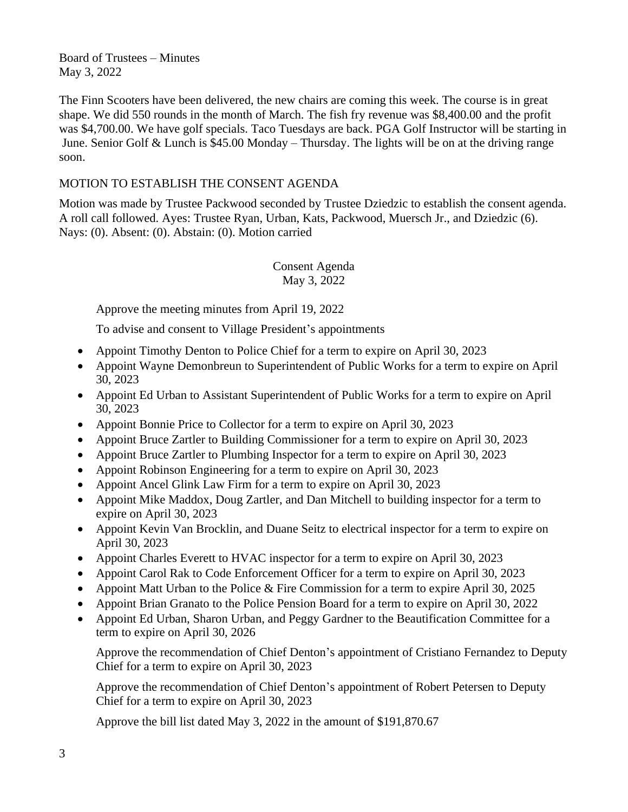Board of Trustees – Minutes May 3, 2022

The Finn Scooters have been delivered, the new chairs are coming this week. The course is in great shape. We did 550 rounds in the month of March. The fish fry revenue was \$8,400.00 and the profit was \$4,700.00. We have golf specials. Taco Tuesdays are back. PGA Golf Instructor will be starting in June. Senior Golf & Lunch is \$45.00 Monday – Thursday. The lights will be on at the driving range soon.

# MOTION TO ESTABLISH THE CONSENT AGENDA

Motion was made by Trustee Packwood seconded by Trustee Dziedzic to establish the consent agenda. A roll call followed. Ayes: Trustee Ryan, Urban, Kats, Packwood, Muersch Jr., and Dziedzic (6). Nays: (0). Absent: (0). Abstain: (0). Motion carried

> Consent Agenda May 3, 2022

Approve the meeting minutes from April 19, 2022

To advise and consent to Village President's appointments

- Appoint Timothy Denton to Police Chief for a term to expire on April 30, 2023
- Appoint Wayne Demonbreun to Superintendent of Public Works for a term to expire on April 30, 2023
- Appoint Ed Urban to Assistant Superintendent of Public Works for a term to expire on April 30, 2023
- Appoint Bonnie Price to Collector for a term to expire on April 30, 2023
- Appoint Bruce Zartler to Building Commissioner for a term to expire on April 30, 2023
- Appoint Bruce Zartler to Plumbing Inspector for a term to expire on April 30, 2023
- Appoint Robinson Engineering for a term to expire on April 30, 2023
- Appoint Ancel Glink Law Firm for a term to expire on April 30, 2023
- Appoint Mike Maddox, Doug Zartler, and Dan Mitchell to building inspector for a term to expire on April 30, 2023
- Appoint Kevin Van Brocklin, and Duane Seitz to electrical inspector for a term to expire on April 30, 2023
- Appoint Charles Everett to HVAC inspector for a term to expire on April 30, 2023
- Appoint Carol Rak to Code Enforcement Officer for a term to expire on April 30, 2023
- Appoint Matt Urban to the Police & Fire Commission for a term to expire April 30, 2025
- Appoint Brian Granato to the Police Pension Board for a term to expire on April 30, 2022
- Appoint Ed Urban, Sharon Urban, and Peggy Gardner to the Beautification Committee for a term to expire on April 30, 2026

Approve the recommendation of Chief Denton's appointment of Cristiano Fernandez to Deputy Chief for a term to expire on April 30, 2023

Approve the recommendation of Chief Denton's appointment of Robert Petersen to Deputy Chief for a term to expire on April 30, 2023

Approve the bill list dated May 3, 2022 in the amount of \$191,870.67